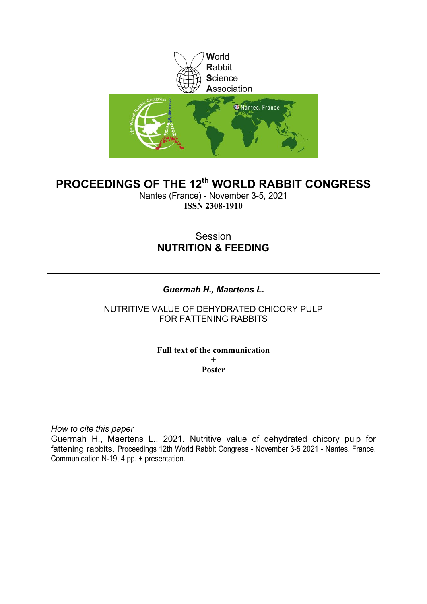

# **PROCEEDINGS OF THE 12th WORLD RABBIT CONGRESS**

Nantes (France) - November 3-5, 2021 **ISSN 2308-1910**

# Session **NUTRITION & FEEDING**

### *Guermah H., Maertens L.*

### NUTRITIVE VALUE OF DEHYDRATED CHICORY PULP FOR FATTENING RABBITS

#### **Full text of the communication +**

**Poster**

*How to cite this paper*

Guermah H., Maertens L., 2021. Nutritive value of dehydrated chicory pulp for fattening rabbits. Proceedings 12th World Rabbit Congress - November 3-5 2021 - Nantes, France, Communication N-19, 4 pp. + presentation.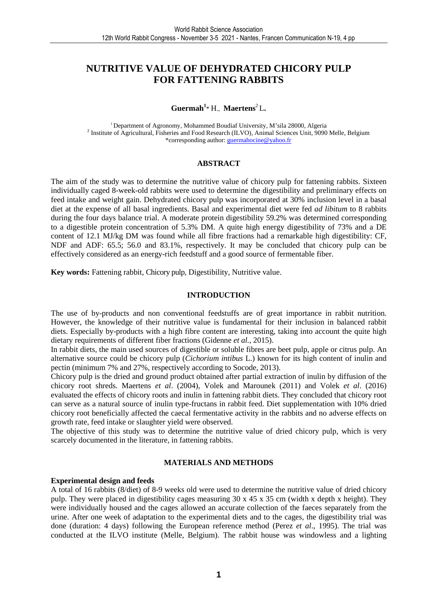## **NUTRITIVE VALUE OF DEHYDRATED CHICORY PULP FOR FATTENING RABBITS**

### **Guermah<sup>1</sup>** \* H., **Maertens**<sup>2</sup>L**.**

<sup>1</sup> Department of Agronomy, Mohammed Boudiaf University, M'sila 28000, Algeria <sup>2</sup> Institute of Agricultural, Fisheries and Food Research (ILVO), Animal Sciences Unit, 9090 Melle, Belgium \*corresponding author: guermahocine@yahoo.fr

#### **ABSTRACT**

The aim of the study was to determine the nutritive value of chicory pulp for fattening rabbits. Sixteen individually caged 8-week-old rabbits were used to determine the digestibility and preliminary effects on feed intake and weight gain. Dehydrated chicory pulp was incorporated at 30% inclusion level in a basal diet at the expense of all basal ingredients. Basal and experimental diet were fed *ad libitum* to 8 rabbits during the four days balance trial. A moderate protein digestibility 59.2% was determined corresponding to a digestible protein concentration of 5.3% DM. A quite high energy digestibility of 73% and a DE content of 12.1 MJ/kg DM was found while all fibre fractions had a remarkable high digestibility: CF, NDF and ADF: 65.5; 56.0 and 83.1%, respectively. It may be concluded that chicory pulp can be effectively considered as an energy-rich feedstuff and a good source of fermentable fiber.

**Key words:** Fattening rabbit, Chicory pulp, Digestibility, Nutritive value.

#### **INTRODUCTION**

The use of by-products and non conventional feedstuffs are of great importance in rabbit nutrition. However, the knowledge of their nutritive value is fundamental for their inclusion in balanced rabbit diets. Especially by-products with a high fibre content are interesting, taking into account the quite high dietary requirements of different fiber fractions (Gidenne *et al.,* 2015).

In rabbit diets, the main used sources of digestible or soluble fibres are beet pulp, apple or citrus pulp. An alternative source could be chicory pulp (*Cichorium intibus* L.) known for its high content of inulin and pectin (minimum 7% and 27%, respectively according to Socode, 2013).

Chicory pulp is the dried and ground product obtained after partial extraction of inulin by diffusion of the chicory root shreds. Maertens *et al*. (2004), Volek and Marounek (2011) and Volek *et al*. (2016) evaluated the effects of chicory roots and inulin in fattening rabbit diets. They concluded that chicory root can serve as a natural source of inulin type-fructans in rabbit feed. Diet supplementation with 10% dried chicory root beneficially affected the caecal fermentative activity in the rabbits and no adverse effects on growth rate, feed intake or slaughter yield were observed.

The objective of this study was to determine the nutritive value of dried chicory pulp, which is very scarcely documented in the literature, in fattening rabbits.

#### **MATERIALS AND METHODS**

#### **Experimental design and feeds**

A total of 16 rabbits (8/diet) of 8-9 weeks old were used to determine the nutritive value of dried chicory pulp. They were placed in digestibility cages measuring 30 x 45 x 35 cm (width x depth x height). They were individually housed and the cages allowed an accurate collection of the faeces separately from the urine. After one week of adaptation to the experimental diets and to the cages, the digestibility trial was done (duration: 4 days) following the European reference method (Perez *et al*., 1995). The trial was conducted at the ILVO institute (Melle, Belgium). The rabbit house was windowless and a lighting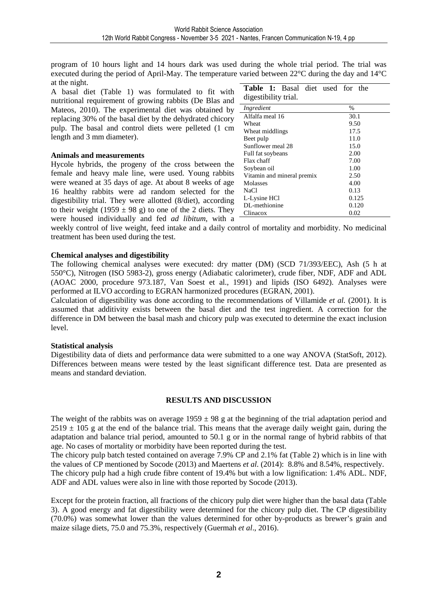program of 10 hours light and 14 hours dark was used during the whole trial period. The trial was executed during the period of April-May. The temperature varied between 22°C during the day and 14°C at the night.

A basal diet (Table 1) was formulated to fit with nutritional requirement of growing rabbits (De Blas and Mateos, 2010). The experimental diet was obtained by replacing 30% of the basal diet by the dehydrated chicory pulp. The basal and control diets were pelleted (1 cm length and 3 mm diameter).

#### **Animals and measurements**

Hycole hybrids, the progeny of the cross between the female and heavy male line, were used. Young rabbits were weaned at 35 days of age. At about 8 weeks of age 16 healthy rabbits were ad random selected for the digestibility trial. They were allotted (8/diet), according to their weight (1959  $\pm$  98 g) to one of the 2 diets. They were housed individually and fed *ad libitum*, with a

| <b>Table 1:</b> Basal diet used for the |       |
|-----------------------------------------|-------|
| digestibility trial.                    |       |
| Ingredient                              | %     |
| Alfalfa meal 16                         | 30.1  |
| Wheat                                   | 9.50  |
| Wheat middlings                         | 17.5  |
| Beet pulp                               | 11.0  |
| Sunflower meal 28                       | 15.0  |
| Full fat soybeans                       | 2.00  |
| Flax chaff                              | 7.00  |
| Soybean oil                             | 1.00  |
| Vitamin and mineral premix              | 2.50  |
| Molasses                                | 4.00  |
| NaCl                                    | 0.13  |
| L-Lysine HCl                            | 0.125 |
| DL-methionine                           | 0.120 |
| Clinacox                                | 0.02  |

weekly control of live weight, feed intake and a daily control of mortality and morbidity. No medicinal treatment has been used during the test.

#### **Chemical analyses and digestibility**

The following chemical analyses were executed: dry matter (DM) (SCD 71/393/EEC), Ash (5 h at 550°C), Nitrogen (ISO 5983-2), gross energy (Adiabatic calorimeter), crude fiber, NDF, ADF and ADL (AOAC 2000, procedure 973.187, Van Soest et al., 1991) and lipids (ISO 6492). Analyses were performed at ILVO according to EGRAN harmonized procedures (EGRAN, 2001).

Calculation of digestibility was done according to the recommendations of Villamide *et al.* (2001). It is assumed that additivity exists between the basal diet and the test ingredient. A correction for the difference in DM between the basal mash and chicory pulp was executed to determine the exact inclusion level.

#### **Statistical analysis**

Digestibility data of diets and performance data were submitted to a one way ANOVA (StatSoft, 2012). Differences between means were tested by the least significant difference test. Data are presented as means and standard deviation.

#### **RESULTS AND DISCUSSION**

The weight of the rabbits was on average  $1959 \pm 98$  g at the beginning of the trial adaptation period and  $2519 \pm 105$  g at the end of the balance trial. This means that the average daily weight gain, during the adaptation and balance trial period, amounted to 50.1 g or in the normal range of hybrid rabbits of that age. No cases of mortality or morbidity have been reported during the test.

The chicory pulp batch tested contained on average 7.9% CP and 2.1% fat (Table 2) which is in line with the values of CP mentioned by Socode (2013) and Maertens *et al*. (2014): 8.8% and 8.54%, respectively. The chicory pulp had a high crude fibre content of 19.4% but with a low lignification: 1.4% ADL. NDF, ADF and ADL values were also in line with those reported by Socode (2013).

Except for the protein fraction, all fractions of the chicory pulp diet were higher than the basal data (Table 3). A good energy and fat digestibility were determined for the chicory pulp diet. The CP digestibility (70.0%) was somewhat lower than the values determined for other by-products as brewer's grain and maize silage diets, 75.0 and 75.3%, respectively (Guermah *et al*., 2016).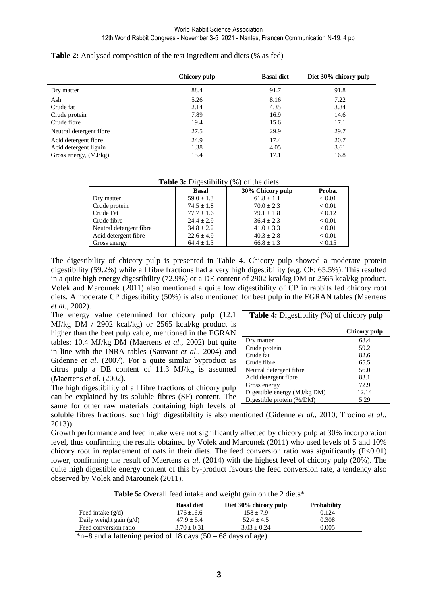|                         | Chicory pulp | <b>Basal diet</b> | Diet 30% chicory pulp |
|-------------------------|--------------|-------------------|-----------------------|
| Dry matter              | 88.4         | 91.7              | 91.8                  |
| Ash                     | 5.26         | 8.16              | 7.22                  |
| Crude fat               | 2.14         | 4.35              | 3.84                  |
| Crude protein           | 7.89         | 16.9              | 14.6                  |
| Crude fibre             | 19.4         | 15.6              | 17.1                  |
| Neutral detergent fibre | 27.5         | 29.9              | 29.7                  |
| Acid detergent fibre    | 24.9         | 17.4              | 20.7                  |
| Acid detergent lignin   | 1.38         | 4.05              | 3.61                  |
| Gross energy, (MJ/kg)   | 15.4         | 17.1              | 16.8                  |

|  | <b>Table 2:</b> Analysed composition of the test ingredient and diets (% as fed) |
|--|----------------------------------------------------------------------------------|
|  |                                                                                  |

**Table 3:** Digestibility (%) of the diets

|                         | <b>Basal</b>   | 30% Chicory pulp | Proba.        |
|-------------------------|----------------|------------------|---------------|
| Dry matter              | $59.0 \pm 1.3$ | $61.8 \pm 1.1$   | ${}_{< 0.01}$ |
| Crude protein           | $74.5 \pm 1.8$ | $70.0 + 2.3$     | ${}_{< 0.01}$ |
| Crude Fat               | $77.7 + 1.6$   | $79.1 + 1.8$     | < 0.12        |
| Crude fibre             | $24.4 + 2.9$   | $36.4 + 2.3$     | ${}_{< 0.01}$ |
| Neutral detergent fibre | $34.8 \pm 2.2$ | $41.0 + 3.3$     | ${}_{< 0.01}$ |
| Acid detergent fibre    | $22.6 + 4.9$   | $40.3 \pm 2.8$   | ${}_{< 0.01}$ |
| Gross energy            | $64.4 \pm 1.3$ | $66.8 \pm 1.3$   | < 0.15        |

The digestibility of chicory pulp is presented in Table 4. Chicory pulp showed a moderate protein digestibility (59.2%) while all fibre fractions had a very high digestibility (e.g. CF: 65.5%). This resulted in a quite high energy digestibility (72.9%) or a DE content of 2902 kcal/kg DM or 2565 kcal/kg product. Volek and Marounek (2011) also mentioned a quite low digestibility of CP in rabbits fed chicory root diets. A moderate CP digestibility (50%) is also mentioned for beet pulp in the EGRAN tables (Maertens *et al.,* 2002).

The energy value determined for chicory pulp (12.1 MJ/kg DM / 2902 kcal/kg) or 2565 kcal/kg product is higher than the beet pulp value, mentioned in the EGRAN tables: 10.4 MJ/kg DM (Maertens *et al.,* 2002) but quite in line with the INRA tables (Sauvant *et al*., 2004) and Gidenne *et al*. (2007). For a quite similar byproduct as citrus pulp a DE content of 11.3 MJ/kg is assumed (Maertens *et al*. (2002).

The high digestibility of all fibre fractions of chicory pulp can be explained by its soluble fibres (SF) content. The same for other raw materials containing high levels of **Table 4:** Digestibility (%) of chicory pulp

|                              | Chicory pulp |
|------------------------------|--------------|
| Dry matter                   | 68.4         |
| Crude protein                | 59.2         |
| Crude fat                    | 82.6         |
| Crude fibre                  | 65.5         |
| Neutral detergent fibre      | 56.0         |
| Acid detergent fibre         | 83.1         |
| Gross energy                 | 72.9         |
| Digestible energy (MJ/kg DM) | 12.14        |
| Digestible protein (%/DM)    | 5.29         |

soluble fibres fractions, such high digestibiltity is also mentioned (Gidenne *et al*., 2010; Trocino *et al.*, 2013)).

Growth performance and feed intake were not significantly affected by chicory pulp at 30% incorporation level, thus confirming the results obtained by Volek and Marounek (2011) who used levels of 5 and 10% chicory root in replacement of oats in their diets. The feed conversion ratio was significantly  $(P<0.01)$ lower, confirming the result of Maertens *et al.* (2014) with the highest level of chicory pulp (20%). The quite high digestible energy content of this by-product favours the feed conversion rate, a tendency also observed by Volek and Marounek (2011).

**Table 5:** Overall feed intake and weight gain on the 2 diets\*

|                           | <b>Basal diet</b> | Diet 30% chicory pulp | <b>Probability</b> |
|---------------------------|-------------------|-----------------------|--------------------|
| Feed intake $(g/d)$ :     | $176 + 16.6$      | $158 + 7.9$           | 0.124              |
| Daily weight gain $(g/d)$ | $47.9 + 5.4$      | $52.4 + 4.5$          | 0.308              |
| Feed conversion ratio     | $3.70 + 0.31$     | $3.03 + 0.24$         | 0.005              |

 $*n=8$  and a fattening period of 18 days (50 – 68 days of age)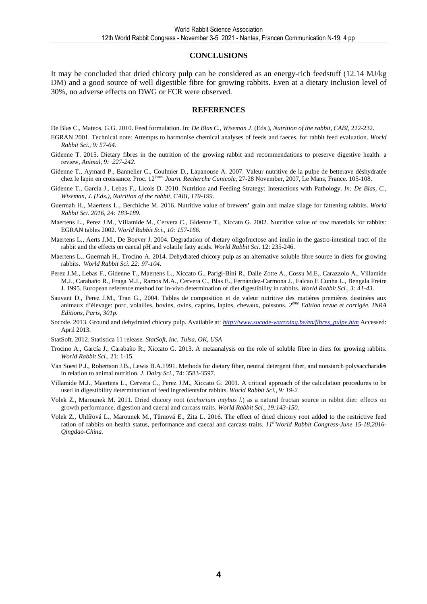#### **CONCLUSIONS**

It may be concluded that dried chicory pulp can be considered as an energy-rich feedstuff (12.14 MJ/kg DM) and a good source of well digestible fibre for growing rabbits. Even at a dietary inclusion level of 30%, no adverse effects on DWG or FCR were observed.

#### **REFERENCES**

De Blas C., Mateos, G.G. 2010. Feed formulation. In: *De Blas C., Wiseman J*. (Eds.), *Nutrition of the rabbit*, *CABI*, 222-232.

- EGRAN 2001. Technical note: Attempts to harmonise chemical analyses of feeds and faeces, for rabbit feed evaluation. *World Rabbit Sci., 9: 57-64.*
- Gidenne T. 2015. Dietary fibres in the nutrition of the growing rabbit and recommendations to preserve digestive health: a review, *Animal, 9: 227-242.*
- Gidenne T., Aymard P., Bannelier C., Coulmier D., Lapanouse A. 2007. Valeur nutritive de la pulpe de betterave déshydratée chez le lapin en croissance. Proc. 12èmes *Journ. Recherche Cunicole,* 27-28 November, 2007, Le Mans, France. 105-108.
- Gidenne T., García J., Lebas F., Licois D. 2010. Nutrition and Feeding Strategy: Interactions with Pathology. *In: De Blas, C., Wiseman, J. (Eds.), Nutrition of the rabbit, CABI, 179-199.*
- Guermah H., Maertens L., Berchiche M. 2016. Nutritive value of brewers' grain and maize silage for fattening rabbits. *World Rabbit Sci. 2016, 24: 183-189.*
- Maertens L., Perez J.M., Villamide M., Cervera C., Gidenne T., Xiccato G. 2002. Nutritive value of raw materials for rabbits*:*  EGRAN tables 2002. *World Rabbit Sci., 10: 157-166.*
- Maertens L., Aerts J.M., De Boever J. 2004. Degradation of dietary oligofructose and inulin in the gastro-intestinal tract of the rabbit and the effects on caecal pH and volatile fatty acids. *World Rabbit Sci*. 12: 235-246.
- Maertens L., Guermah H., Trocino A. 2014. Dehydrated chicory pulp as an alternative soluble fibre source in diets for growing rabbits. *World Rabbit Sci. 22: 97-104*.
- Perez J.M., Lebas F., Gidenne T., Maertens L., Xiccato G., Parigi-Bini R., Dalle Zotte A., Cossu M.E., Carazzolo A., Villamide M.J., Carabaño R., Fraga M.J., Ramos M.A., Cervera C., Blas E., Fernàndez-Carmona J., Falcao E Cunha L., Bengala Freire J. 1995. European reference method for in-vivo determination of diet digestibility in rabbits. *World Rabbit Sci., 3: 41-43.*
- Sauvant D., Perez J.M., Tran G., 2004. Tables de composition et de valeur nutritive des matières premières destinées aux animaux d'élevage: porc, volailles, bovins, ovins, caprins, lapins, chevaux, poissons. *2 ème Edition revue et corrigée. INRA Editions, Paris, 301p.*
- Socode. 2013. Ground and dehydrated chicory pulp. Available at: *http://www.socode-warcoing.be/en/fibres\_pulpe.htm* Accessed: April 2013.
- StatSoft. 2012. Statistica 11 release. *StatSoft, Inc. Tulsa*, *OK, USA*
- Trocino A., García J., Carabaño R., Xiccato G. 2013. A metaanalysis on the role of soluble fibre in diets for growing rabbits. *World Rabbit Sci*., 21: 1-15.
- Van Soest P.J., Robertson J.B., Lewis B.A.1991. Methods for dietary fiber, neutral detergent fiber, and nonstarch polysaccharides in relation to animal nutrition*. J. Dairy Sci*., 74: 3583-3597.
- Villamide M.J., Maertens L., Cervera C., Perez J.M., Xiccato G. 2001. A critical approach of the calculation procedures to be used in digestibility determination of feed ingredientsfor rabbits. *World Rabbit Sci., 9: 19-2*
- Volek Z., Marounek M. 2011. Dried chicory root (*cichorium intybus l.*) as a natural fructan source in rabbit diet: effects on growth performance, digestion and caecal and carcass traits. *World Rabbit Sci., 19:143-150.*
- Volek Z., Uhlířová L., Marounek M., Tůmová E., Zita L. 2016. The effect of dried chicory root added to the restrictive feed ration of rabbits on health status, performance and caecal and carcass traits. *11thWorld Rabbit Congress-June 15-18,2016- Qingdao-China.*